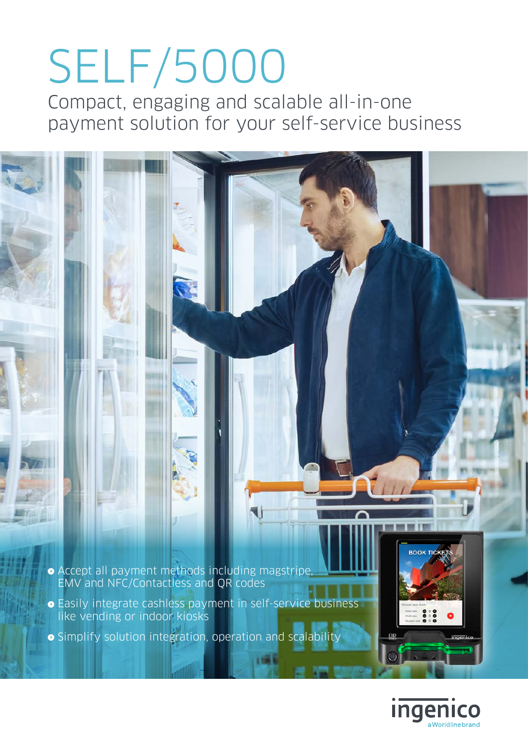# SELF/5000

Compact, engaging and scalable all-in-one payment solution for your self-service business